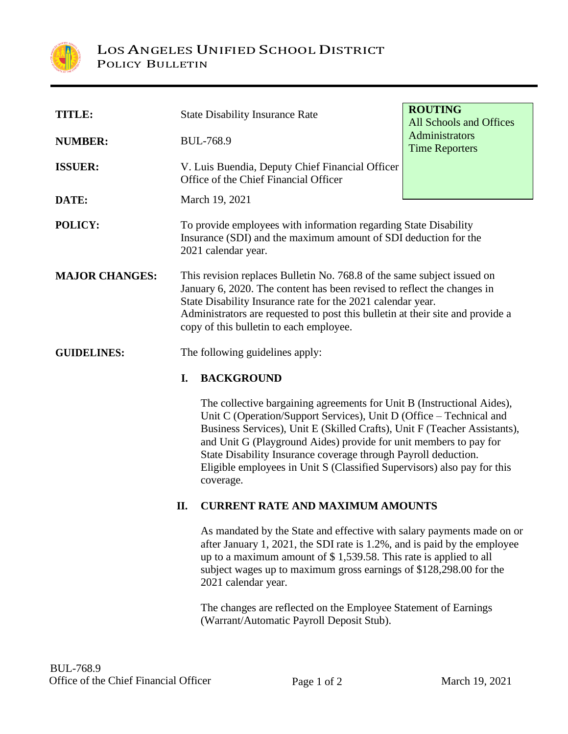

| <b>TITLE:</b>         | <b>State Disability Insurance Rate</b>                                                                                                                                                                                                                                                                                                         | <b>ROUTING</b><br>All Schools and Offices |
|-----------------------|------------------------------------------------------------------------------------------------------------------------------------------------------------------------------------------------------------------------------------------------------------------------------------------------------------------------------------------------|-------------------------------------------|
| <b>NUMBER:</b>        | <b>BUL-768.9</b>                                                                                                                                                                                                                                                                                                                               | Administrators<br><b>Time Reporters</b>   |
| <b>ISSUER:</b>        | V. Luis Buendia, Deputy Chief Financial Officer<br>Office of the Chief Financial Officer                                                                                                                                                                                                                                                       |                                           |
| DATE:                 | March 19, 2021                                                                                                                                                                                                                                                                                                                                 |                                           |
| POLICY:               | To provide employees with information regarding State Disability<br>Insurance (SDI) and the maximum amount of SDI deduction for the<br>2021 calendar year.                                                                                                                                                                                     |                                           |
| <b>MAJOR CHANGES:</b> | This revision replaces Bulletin No. 768.8 of the same subject issued on<br>January 6, 2020. The content has been revised to reflect the changes in<br>State Disability Insurance rate for the 2021 calendar year.<br>Administrators are requested to post this bulletin at their site and provide a<br>copy of this bulletin to each employee. |                                           |
| <b>GUIDELINES:</b>    | The following guidelines apply:                                                                                                                                                                                                                                                                                                                |                                           |
|                       | <b>BACKGROUND</b><br>I.                                                                                                                                                                                                                                                                                                                        |                                           |
|                       | The collective bargaining agreements for Unit B (Instructional Aides),<br>Unit C (Operation/Support Services), Unit D (Office – Technical and                                                                                                                                                                                                  |                                           |

Business Services), Unit E (Skilled Crafts), Unit F (Teacher Assistants), and Unit G (Playground Aides) provide for unit members to pay for State Disability Insurance coverage through Payroll deduction. Eligible employees in Unit S (Classified Supervisors) also pay for this coverage.

## **II. CURRENT RATE AND MAXIMUM AMOUNTS**

As mandated by the State and effective with salary payments made on or after January 1, 2021, the SDI rate is 1.2%, and is paid by the employee up to a maximum amount of \$ 1,539.58. This rate is applied to all subject wages up to maximum gross earnings of \$128,298.00 for the 2021 calendar year.

The changes are reflected on the Employee Statement of Earnings (Warrant/Automatic Payroll Deposit Stub).